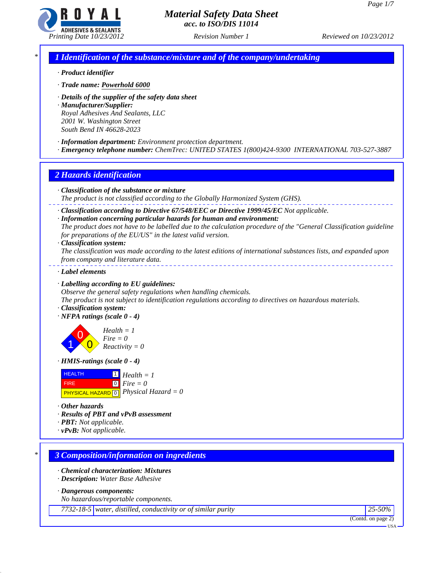

*\* 1 Identification of the substance/mixture and of the company/undertaking*

- *· Product identifier*
- *· Trade name: Powerhold 6000*
- *· Details of the supplier of the safety data sheet*
- *· Manufacturer/Supplier: Royal Adhesives And Sealants, LLC 2001 W. Washington Street South Bend IN 46628-2023*
- *· Information department: Environment protection department.*
- *· Emergency telephone number: ChemTrec: UNITED STATES 1(800)424-9300 INTERNATIONAL 703-527-3887*

## *2 Hazards identification*

- *· Classification of the substance or mixture*
- *The product is not classified according to the Globally Harmonized System (GHS).*
- *· Classification according to Directive 67/548/EEC or Directive 1999/45/EC Not applicable.*
- *· Information concerning particular hazards for human and environment:*
- *The product does not have to be labelled due to the calculation procedure of the "General Classification guideline for preparations of the EU/US" in the latest valid version.*
- *· Classification system:*

*The classification was made according to the latest editions of international substances lists, and expanded upon from company and literature data.* 

*· Label elements*

### *· Labelling according to EU guidelines:*

*Observe the general safety regulations when handling chemicals.*

- *The product is not subject to identification regulations according to directives on hazardous materials. · Classification system:*
- *· NFPA ratings (scale 0 4)*

1 0  $\overline{\mathbf{0}}$ *Health = 1 Fire = 0 Reactivity = 0*

*· HMIS-ratings (scale 0 - 4)*



*· Other hazards*

- *· Results of PBT and vPvB assessment*
- *· PBT: Not applicable.*
- *· vPvB: Not applicable.*

## *\* 3 Composition/information on ingredients*

- *· Chemical characterization: Mixtures*
- *· Description: Water Base Adhesive*

*· Dangerous components:*

*No hazardous/reportable components.*

*7732-18-5 water, distilled, conductivity or of similar purity 25-50%*

(Contd. on page 2)

USA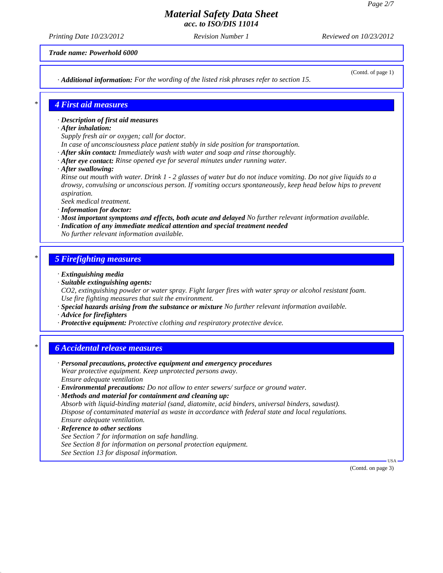*Printing Date 10/23/2012 Revision Number 1 Reviewed on 10/23/2012*

*Trade name: Powerhold 6000*

*· Additional information: For the wording of the listed risk phrases refer to section 15.*

(Contd. of page 1)

### *\* 4 First aid measures*

- *· Description of first aid measures*
- *· After inhalation:*
- *Supply fresh air or oxygen; call for doctor.*
- *In case of unconsciousness place patient stably in side position for transportation.*
- *· After skin contact: Immediately wash with water and soap and rinse thoroughly.*
- *· After eye contact: Rinse opened eye for several minutes under running water.*
- *· After swallowing:*
- *Rinse out mouth with water. Drink 1 2 glasses of water but do not induce vomiting. Do not give liquids to a drowsy, convulsing or unconscious person. If vomiting occurs spontaneously, keep head below hips to prevent aspiration.*
- *Seek medical treatment.*
- *· Information for doctor:*
- *· Most important symptoms and effects, both acute and delayed No further relevant information available. · Indication of any immediate medical attention and special treatment needed*
- *No further relevant information available.*

#### *\* 5 Firefighting measures*

- *· Extinguishing media*
- *· Suitable extinguishing agents:*

*CO2, extinguishing powder or water spray. Fight larger fires with water spray or alcohol resistant foam. Use fire fighting measures that suit the environment.*

- *· Special hazards arising from the substance or mixture No further relevant information available.*
- *· Advice for firefighters*
- *· Protective equipment: Protective clothing and respiratory protective device.*

### *\* 6 Accidental release measures*

*· Personal precautions, protective equipment and emergency procedures Wear protective equipment. Keep unprotected persons away. Ensure adequate ventilation · Environmental precautions: Do not allow to enter sewers/ surface or ground water. · Methods and material for containment and cleaning up:*

*Absorb with liquid-binding material (sand, diatomite, acid binders, universal binders, sawdust). Dispose of contaminated material as waste in accordance with federal state and local regulations. Ensure adequate ventilation.*

- *· Reference to other sections*
- *See Section 7 for information on safe handling.*
- *See Section 8 for information on personal protection equipment.*
- *See Section 13 for disposal information.*

(Contd. on page 3)

USA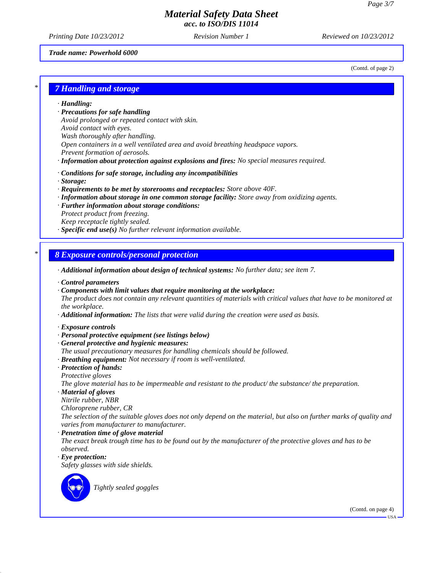(Contd. of page 2)

# *Material Safety Data Sheet acc. to ISO/DIS 11014*

*Printing Date 10/23/2012 Revision Number 1 Reviewed on 10/23/2012*

#### *Trade name: Powerhold 6000*

*\* 7 Handling and storage*

*· Handling:*

*· Precautions for safe handling*

*Avoid prolonged or repeated contact with skin. Avoid contact with eyes. Wash thoroughly after handling. Open containers in a well ventilated area and avoid breathing headspace vapors. Prevent formation of aerosols.*

- *· Information about protection against explosions and fires: No special measures required.*
- *· Conditions for safe storage, including any incompatibilities*
- *· Storage:*
- *· Requirements to be met by storerooms and receptacles: Store above 40F.*
- *· Information about storage in one common storage facility: Store away from oxidizing agents.*
- *· Further information about storage conditions: Protect product from freezing. Keep receptacle tightly sealed.*
- *· Specific end use(s) No further relevant information available.*

## *\* 8 Exposure controls/personal protection*

*· Additional information about design of technical systems: No further data; see item 7.*

- *· Control parameters*
- *· Components with limit values that require monitoring at the workplace:*

*The product does not contain any relevant quantities of materials with critical values that have to be monitored at the workplace.*

- *· Additional information: The lists that were valid during the creation were used as basis.*
- *· Exposure controls*
- *· Personal protective equipment (see listings below)*
- *· General protective and hygienic measures:*
- *The usual precautionary measures for handling chemicals should be followed.*
- *· Breathing equipment: Not necessary if room is well-ventilated.*
- *· Protection of hands: Protective gloves*
- *The glove material has to be impermeable and resistant to the product/ the substance/ the preparation.*
- *· Material of gloves*
- *Nitrile rubber, NBR*

*Chloroprene rubber, CR*

*The selection of the suitable gloves does not only depend on the material, but also on further marks of quality and varies from manufacturer to manufacturer.*

- *· Penetration time of glove material*
- *The exact break trough time has to be found out by the manufacturer of the protective gloves and has to be observed.*
- *· Eye protection:*

*Safety glasses with side shields.*



*Tightly sealed goggles*

(Contd. on page 4)

USA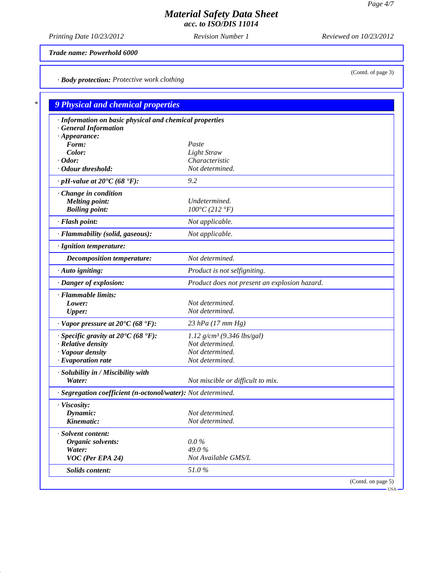*Printing Date 10/23/2012 Revision Number 1 Reviewed on 10/23/2012*

*Trade name: Powerhold 6000*

*· Body protection: Protective work clothing*

| · Information on basic physical and chemical properties      |                                               |  |
|--------------------------------------------------------------|-----------------------------------------------|--|
| <b>General Information</b>                                   |                                               |  |
| $\cdot$ Appearance:<br>Form:                                 | Paste                                         |  |
| Color:                                                       | <b>Light Straw</b>                            |  |
| $\cdot$ Odor:                                                | Characteristic                                |  |
| · Odour threshold:                                           | Not determined.                               |  |
| $\cdot$ pH-value at 20°C (68 °F):                            | 9.2                                           |  |
| · Change in condition                                        |                                               |  |
| <b>Melting point:</b>                                        | Undetermined.                                 |  |
| <b>Boiling point:</b>                                        | $100^{\circ}C(212^{\circ}F)$                  |  |
| · Flash point:                                               | Not applicable.                               |  |
| · Flammability (solid, gaseous):                             | Not applicable.                               |  |
| · Ignition temperature:                                      |                                               |  |
| <b>Decomposition temperature:</b>                            | Not determined.                               |  |
| $\cdot$ Auto igniting:                                       | Product is not selfigniting.                  |  |
| · Danger of explosion:                                       | Product does not present an explosion hazard. |  |
| · Flammable limits:                                          |                                               |  |
| Lower:                                                       | Not determined.                               |  |
| <b>Upper:</b>                                                | Not determined.                               |  |
| $\cdot$ Vapor pressure at 20°C (68 °F):                      | 23 hPa (17 mm Hg)                             |  |
| $\cdot$ Specific gravity at 20°C (68 °F):                    | $1.12$ g/cm <sup>3</sup> (9.346 lbs/gal)      |  |
| $\cdot$ Relative density                                     | Not determined.                               |  |
| · Vapour density                                             | Not determined.                               |  |
| $\cdot$ Evaporation rate                                     | Not determined.                               |  |
| · Solubility in / Miscibility with                           |                                               |  |
| Water:                                                       | Not miscible or difficult to mix.             |  |
| · Segregation coefficient (n-octonol/water): Not determined. |                                               |  |
| · Viscosity:                                                 |                                               |  |
| Dynamic:                                                     | Not determined.                               |  |
| Kinematic:                                                   | Not determined.                               |  |
| · Solvent content:                                           |                                               |  |
| Organic solvents:                                            | $0.0\%$                                       |  |
| Water:                                                       | 49.0%                                         |  |
| VOC (Per EPA 24)                                             | Not Available GMS/L                           |  |
| Solids content:                                              | 51.0%                                         |  |

(Contd. of page 3)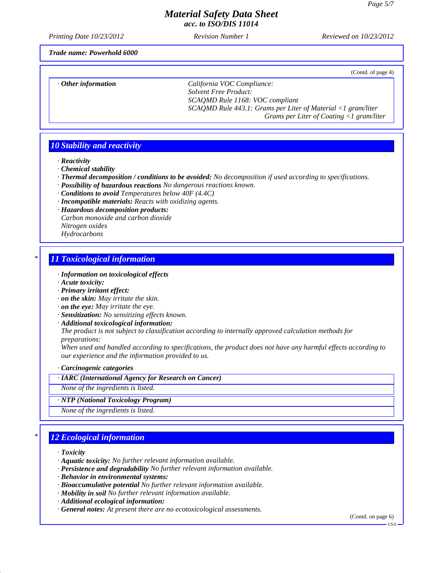*Printing Date 10/23/2012 Revision Number 1 Reviewed on 10/23/2012*

(Contd. of page 4)

*Trade name: Powerhold 6000*

*· Other information California VOC Compliance:*

*Solvent Free Product: SCAQMD Rule 1168: VOC compliant SCAQMD Rule 443.1: Grams per Liter of Material <1 gram/liter Grams per Liter of Coating <1 gram/liter*

## *10 Stability and reactivity*

*· Reactivity*

- *· Chemical stability*
- *· Thermal decomposition / conditions to be avoided: No decomposition if used according to specifications.*
- *· Possibility of hazardous reactions No dangerous reactions known.*
- *· Conditions to avoid Temperatures below 40F (4.4C)*
- *· Incompatible materials: Reacts with oxidizing agents.*
- *· Hazardous decomposition products:*
- *Carbon monoxide and carbon dioxide Nitrogen oxides*
- *Hydrocarbons*

## *\* 11 Toxicological information*

- *· Information on toxicological effects*
- *· Acute toxicity:*
- *· Primary irritant effect:*
- *· on the skin: May irritate the skin.*
- *· on the eye: May irritate the eye.*
- *· Sensitization: No sensitizing effects known.*
- *· Additional toxicological information:*
- *The product is not subject to classification according to internally approved calculation methods for preparations:*

*When used and handled according to specifications, the product does not have any harmful effects according to our experience and the information provided to us.*

*· Carcinogenic categories*

## *· IARC (International Agency for Research on Cancer)*

*None of the ingredients is listed.*

*· NTP (National Toxicology Program)*

*None of the ingredients is listed.*

# *\* 12 Ecological information*

- *· Toxicity*
- *· Aquatic toxicity: No further relevant information available.*
- *· Persistence and degradability No further relevant information available.*
- *· Behavior in environmental systems:*
- *· Bioaccumulative potential No further relevant information available.*
- *· Mobility in soil No further relevant information available.*
- *· Additional ecological information:*
- *· General notes: At present there are no ecotoxicological assessments.*

(Contd. on page 6)

USA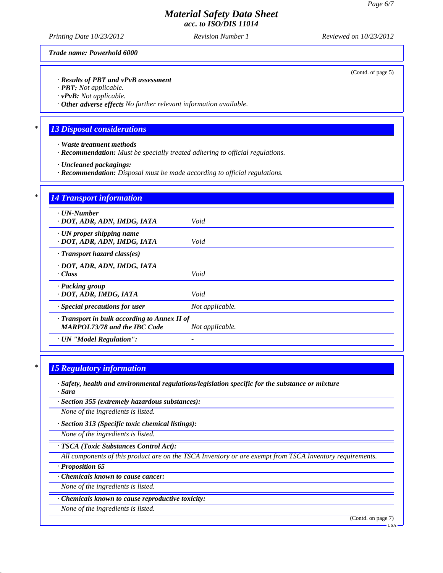*Printing Date 10/23/2012 Revision Number 1 Reviewed on 10/23/2012*

*Trade name: Powerhold 6000*

*· Results of PBT and vPvB assessment*

*· PBT: Not applicable.*

*· vPvB: Not applicable.*

*· Other adverse effects No further relevant information available.*

## *\* 13 Disposal considerations*

- *· Waste treatment methods*
- *· Recommendation: Must be specially treated adhering to official regulations.*
- *· Uncleaned packagings:*
- *· Recommendation: Disposal must be made according to official regulations.*

| <b>14 Transport information</b>                                |                 |
|----------------------------------------------------------------|-----------------|
| $\cdot$ UN-Number<br>· DOT, ADR, ADN, IMDG, IATA               | Void            |
| $\cdot$ UN proper shipping name<br>· DOT, ADR, ADN, IMDG, IATA | Void            |
| $\cdot$ Transport hazard class(es)                             |                 |
| · DOT, ADR, ADN, IMDG, IATA                                    |                 |
| · Class                                                        | Void            |
| · Packing group                                                |                 |
| · DOT, ADR, IMDG, IATA                                         | Void            |
| · Special precautions for user                                 | Not applicable. |
| · Transport in bulk according to Annex II of                   |                 |
| <b>MARPOL73/78 and the IBC Code</b>                            | Not applicable. |
| · UN "Model Regulation":                                       |                 |

### *\* 15 Regulatory information*

*· Safety, health and environmental regulations/legislation specific for the substance or mixture · Sara*

*· Section 355 (extremely hazardous substances):*

*None of the ingredients is listed.*

*· Section 313 (Specific toxic chemical listings):*

*None of the ingredients is listed.*

*· TSCA (Toxic Substances Control Act):*

*All components of this product are on the TSCA Inventory or are exempt from TSCA Inventory requirements.*

*· Proposition 65*

*· Chemicals known to cause cancer:*

*None of the ingredients is listed.*

*· Chemicals known to cause reproductive toxicity:*

*None of the ingredients is listed.*

(Contd. on page 7)

(Contd. of page 5)

USA